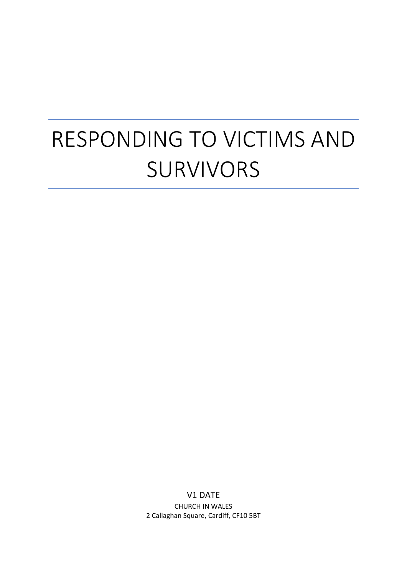# RESPONDING TO VICTIMS AND SURVIVORS

V1 DATE CHURCH IN WALES 2 Callaghan Square, Cardiff, CF10 5BT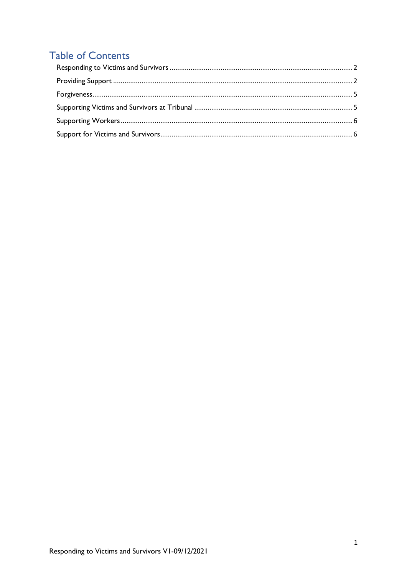## **Table of Contents**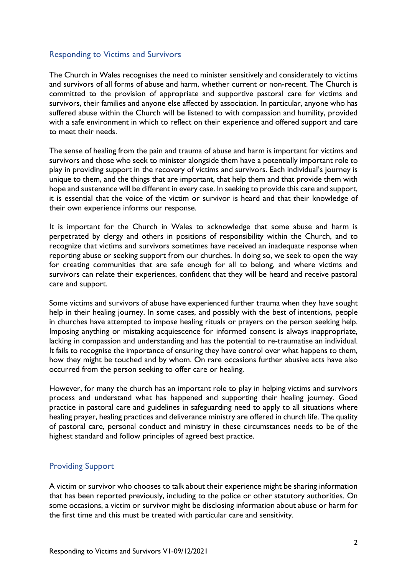#### <span id="page-2-0"></span>Responding to Victims and Survivors

The Church in Wales recognises the need to minister sensitively and considerately to victims and survivors of all forms of abuse and harm, whether current or non-recent. The Church is committed to the provision of appropriate and supportive pastoral care for victims and survivors, their families and anyone else affected by association. In particular, anyone who has suffered abuse within the Church will be listened to with compassion and humility, provided with a safe environment in which to reflect on their experience and offered support and care to meet their needs.

The sense of healing from the pain and trauma of abuse and harm is important for victims and survivors and those who seek to minister alongside them have a potentially important role to play in providing support in the recovery of victims and survivors. Each individual's journey is unique to them, and the things that are important, that help them and that provide them with hope and sustenance will be different in every case. In seeking to provide this care and support, it is essential that the voice of the victim or survivor is heard and that their knowledge of their own experience informs our response.

It is important for the Church in Wales to acknowledge that some abuse and harm is perpetrated by clergy and others in positions of responsibility within the Church, and to recognize that victims and survivors sometimes have received an inadequate response when reporting abuse or seeking support from our churches. In doing so, we seek to open the way for creating communities that are safe enough for all to belong, and where victims and survivors can relate their experiences, confident that they will be heard and receive pastoral care and support.

Some victims and survivors of abuse have experienced further trauma when they have sought help in their healing journey. In some cases, and possibly with the best of intentions, people in churches have attempted to impose healing rituals or prayers on the person seeking help. Imposing anything or mistaking acquiescence for informed consent is always inappropriate, lacking in compassion and understanding and has the potential to re-traumatise an individual. It fails to recognise the importance of ensuring they have control over what happens to them, how they might be touched and by whom. On rare occasions further abusive acts have also occurred from the person seeking to offer care or healing.

However, for many the church has an important role to play in helping victims and survivors process and understand what has happened and supporting their healing journey. Good practice in pastoral care and guidelines in safeguarding need to apply to all situations where healing prayer, healing practices and deliverance ministry are offered in church life. The quality of pastoral care, personal conduct and ministry in these circumstances needs to be of the highest standard and follow principles of agreed best practice.

#### <span id="page-2-1"></span>Providing Support

A victim or survivor who chooses to talk about their experience might be sharing information that has been reported previously, including to the police or other statutory authorities. On some occasions, a victim or survivor might be disclosing information about abuse or harm for the first time and this must be treated with particular care and sensitivity.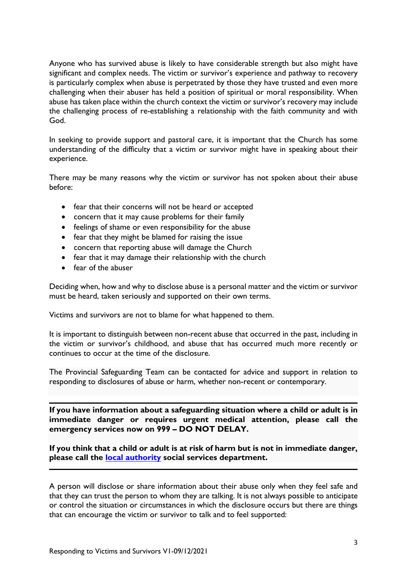Anyone who has survived abuse is likely to have considerable strength but also might have significant and complex needs. The victim or survivor's experience and pathway to recovery is particularly complex when abuse is perpetrated by those they have trusted and even more challenging when their abuser has held a position of spiritual or moral responsibility. When abuse has taken place within the church context the victim or survivor's recovery may include the challenging process of re-establishing a relationship with the faith community and with God.

In seeking to provide support and pastoral care, it is important that the Church has some understanding of the difficulty that a victim or survivor might have in speaking about their experience.

There may be many reasons why the victim or survivor has not spoken about their abuse before:

- fear that their concerns will not be heard or accepted
- concern that it may cause problems for their family
- feelings of shame or even responsibility for the abuse
- fear that they might be blamed for raising the issue
- concern that reporting abuse will damage the Church
- fear that it may damage their relationship with the church
- fear of the abuser

Deciding when, how and why to disclose abuse is a personal matter and the victim or survivor must be heard, taken seriously and supported on their own terms.

Victims and survivors are not to blame for what happened to them.

It is important to distinguish between non-recent abuse that occurred in the past, including in the victim or survivor's childhood, and abuse that has occurred much more recently or continues to occur at the time of the disclosure.

The Provincial Safeguarding Team can be contacted for advice and support in relation to responding to disclosures of abuse or harm, whether non-recent or contemporary.

**If you have information about a safeguarding situation where a child or adult is in immediate danger or requires urgent medical attention, please call the emergency services now on 999 – DO NOT DELAY.**

**If you think that a child or adult is at risk of harm but is not in immediate danger, please call the [local authority](https://www.wlga.wales/welsh-local-authority-links) social services department.**

A person will disclose or share information about their abuse only when they feel safe and that they can trust the person to whom they are talking. It is not always possible to anticipate or control the situation or circumstances in which the disclosure occurs but there are things that can encourage the victim or survivor to talk and to feel supported: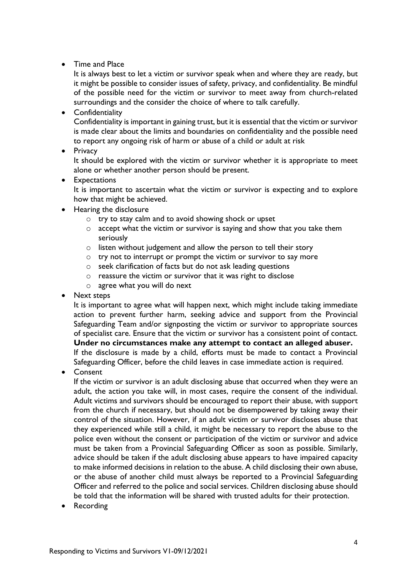#### • Time and Place

It is always best to let a victim or survivor speak when and where they are ready, but it might be possible to consider issues of safety, privacy, and confidentiality. Be mindful of the possible need for the victim or survivor to meet away from church-related surroundings and the consider the choice of where to talk carefully.

• Confidentiality

Confidentiality is important in gaining trust, but it is essential that the victim or survivor is made clear about the limits and boundaries on confidentiality and the possible need to report any ongoing risk of harm or abuse of a child or adult at risk

• Privacy

It should be explored with the victim or survivor whether it is appropriate to meet alone or whether another person should be present.

• Expectations

It is important to ascertain what the victim or survivor is expecting and to explore how that might be achieved.

- Hearing the disclosure
	- o try to stay calm and to avoid showing shock or upset
	- o accept what the victim or survivor is saying and show that you take them seriously
	- o listen without judgement and allow the person to tell their story
	- o try not to interrupt or prompt the victim or survivor to say more
	- o seek clarification of facts but do not ask leading questions
	- o reassure the victim or survivor that it was right to disclose
	- o agree what you will do next
- Next steps

It is important to agree what will happen next, which might include taking immediate action to prevent further harm, seeking advice and support from the Provincial Safeguarding Team and/or signposting the victim or survivor to appropriate sources of specialist care. Ensure that the victim or survivor has a consistent point of contact. **Under no circumstances make any attempt to contact an alleged abuser.** If the disclosure is made by a child, efforts must be made to contact a Provincial Safeguarding Officer, before the child leaves in case immediate action is required.

• Consent

If the victim or survivor is an adult disclosing abuse that occurred when they were an adult, the action you take will, in most cases, require the consent of the individual. Adult victims and survivors should be encouraged to report their abuse, with support from the church if necessary, but should not be disempowered by taking away their control of the situation. However, if an adult victim or survivor discloses abuse that they experienced while still a child, it might be necessary to report the abuse to the police even without the consent or participation of the victim or survivor and advice must be taken from a Provincial Safeguarding Officer as soon as possible. Similarly, advice should be taken if the adult disclosing abuse appears to have impaired capacity to make informed decisions in relation to the abuse. A child disclosing their own abuse, or the abuse of another child must always be reported to a Provincial Safeguarding Officer and referred to the police and social services. Children disclosing abuse should be told that the information will be shared with trusted adults for their protection.

• Recording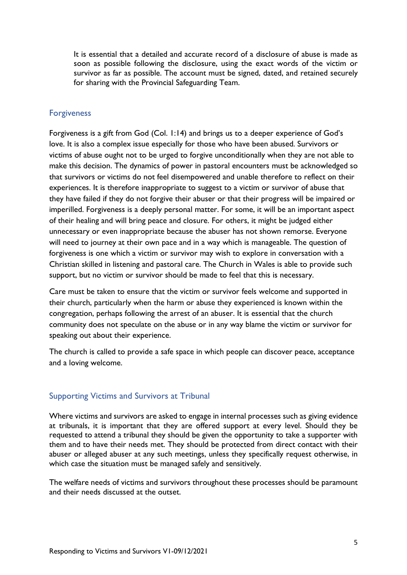It is essential that a detailed and accurate record of a disclosure of abuse is made as soon as possible following the disclosure, using the exact words of the victim or survivor as far as possible. The account must be signed, dated, and retained securely for sharing with the Provincial Safeguarding Team.

#### <span id="page-5-0"></span>Forgiveness

Forgiveness is a gift from God (Col. 1:14) and brings us to a deeper experience of God's love. It is also a complex issue especially for those who have been abused. Survivors or victims of abuse ought not to be urged to forgive unconditionally when they are not able to make this decision. The dynamics of power in pastoral encounters must be acknowledged so that survivors or victims do not feel disempowered and unable therefore to reflect on their experiences. It is therefore inappropriate to suggest to a victim or survivor of abuse that they have failed if they do not forgive their abuser or that their progress will be impaired or imperilled. Forgiveness is a deeply personal matter. For some, it will be an important aspect of their healing and will bring peace and closure. For others, it might be judged either unnecessary or even inappropriate because the abuser has not shown remorse. Everyone will need to journey at their own pace and in a way which is manageable. The question of forgiveness is one which a victim or survivor may wish to explore in conversation with a Christian skilled in listening and pastoral care. The Church in Wales is able to provide such support, but no victim or survivor should be made to feel that this is necessary.

Care must be taken to ensure that the victim or survivor feels welcome and supported in their church, particularly when the harm or abuse they experienced is known within the congregation, perhaps following the arrest of an abuser. It is essential that the church community does not speculate on the abuse or in any way blame the victim or survivor for speaking out about their experience.

The church is called to provide a safe space in which people can discover peace, acceptance and a loving welcome.

### <span id="page-5-1"></span>Supporting Victims and Survivors at Tribunal

Where victims and survivors are asked to engage in internal processes such as giving evidence at tribunals, it is important that they are offered support at every level. Should they be requested to attend a tribunal they should be given the opportunity to take a supporter with them and to have their needs met. They should be protected from direct contact with their abuser or alleged abuser at any such meetings, unless they specifically request otherwise, in which case the situation must be managed safely and sensitively.

The welfare needs of victims and survivors throughout these processes should be paramount and their needs discussed at the outset.